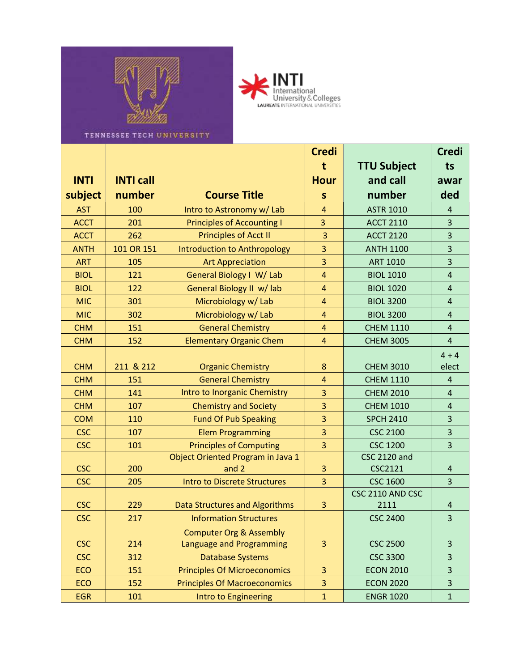



TENNESSEE TECH UNIVERSITY

|             |                  |                                       | <b>Credi</b>   |                     | <b>Credi</b>            |
|-------------|------------------|---------------------------------------|----------------|---------------------|-------------------------|
|             |                  |                                       | t              | <b>TTU Subject</b>  | ts                      |
| <b>INTI</b> | <b>INTI call</b> |                                       | <b>Hour</b>    | and call            | awar                    |
| subject     | number           | <b>Course Title</b>                   | S              | number              | ded                     |
| <b>AST</b>  | 100              | Intro to Astronomy w/ Lab             | 4              | <b>ASTR 1010</b>    | $\overline{4}$          |
| <b>ACCT</b> | 201              | <b>Principles of Accounting I</b>     | 3              | <b>ACCT 2110</b>    | $\overline{3}$          |
| <b>ACCT</b> | 262              | <b>Principles of Acct II</b>          | $\overline{3}$ | <b>ACCT 2120</b>    | 3                       |
| <b>ANTH</b> | 101 OR 151       | <b>Introduction to Anthropology</b>   | 3              | <b>ANTH 1100</b>    | $\overline{\mathbf{3}}$ |
| <b>ART</b>  | 105              | <b>Art Appreciation</b>               | 3              | <b>ART 1010</b>     | $\overline{\mathbf{3}}$ |
| <b>BIOL</b> | 121              | General Biology I W/ Lab              | 4              | <b>BIOL 1010</b>    | $\overline{\mathbf{4}}$ |
| <b>BIOL</b> | 122              | General Biology II w/ lab             | $\overline{4}$ | <b>BIOL 1020</b>    | $\overline{4}$          |
| <b>MIC</b>  | 301              | Microbiology w/ Lab                   | 4              | <b>BIOL 3200</b>    | $\overline{4}$          |
| <b>MIC</b>  | 302              | Microbiology w/ Lab                   | $\overline{4}$ | <b>BIOL 3200</b>    | $\overline{4}$          |
| <b>CHM</b>  | 151              | <b>General Chemistry</b>              | 4              | <b>CHEM 1110</b>    | $\overline{4}$          |
| <b>CHM</b>  | 152              | <b>Elementary Organic Chem</b>        | $\overline{4}$ | <b>CHEM 3005</b>    | $\overline{4}$          |
|             |                  |                                       |                |                     | $4 + 4$                 |
| <b>CHM</b>  | 211 & 212        | <b>Organic Chemistry</b>              | 8              | <b>CHEM 3010</b>    | elect                   |
| <b>CHM</b>  | 151              | <b>General Chemistry</b>              | $\overline{4}$ | <b>CHEM 1110</b>    | $\overline{4}$          |
| <b>CHM</b>  | 141              | Intro to Inorganic Chemistry          | 3              | <b>CHEM 2010</b>    | $\overline{4}$          |
| <b>CHM</b>  | 107              | <b>Chemistry and Society</b>          | 3              | <b>CHEM 1010</b>    | $\overline{4}$          |
| <b>COM</b>  | 110              | <b>Fund Of Pub Speaking</b>           | 3              | <b>SPCH 2410</b>    | 3                       |
| <b>CSC</b>  | 107              | <b>Elem Programming</b>               | 3              | <b>CSC 2100</b>     | 3                       |
| <b>CSC</b>  | 101              | <b>Principles of Computing</b>        | 3              | <b>CSC 1200</b>     | 3                       |
|             |                  | Object Oriented Program in Java 1     |                | <b>CSC 2120 and</b> |                         |
| <b>CSC</b>  | 200              | and 2                                 | 3              | <b>CSC2121</b>      | 4                       |
| <b>CSC</b>  | 205              | <b>Intro to Discrete Structures</b>   | 3              | <b>CSC 1600</b>     | $\overline{3}$          |
|             |                  |                                       |                | CSC 2110 AND CSC    |                         |
| <b>CSC</b>  | 229              | <b>Data Structures and Algorithms</b> | 3              | 2111                | $\overline{\mathbf{r}}$ |
| <b>CSC</b>  | 217              | <b>Information Structures</b>         |                | <b>CSC 2400</b>     | 3                       |
|             |                  | <b>Computer Org &amp; Assembly</b>    |                |                     |                         |
| <b>CSC</b>  | 214              | Language and Programming              | 3              | <b>CSC 2500</b>     | 3                       |
| <b>CSC</b>  | 312              | <b>Database Systems</b>               |                | <b>CSC 3300</b>     | $\overline{\mathbf{3}}$ |
| <b>ECO</b>  | 151              | <b>Principles Of Microeconomics</b>   | 3              | <b>ECON 2010</b>    | $\overline{\mathbf{3}}$ |
| ECO         | 152              | <b>Principles Of Macroeconomics</b>   | 3              | <b>ECON 2020</b>    | $\overline{\mathbf{3}}$ |
| <b>EGR</b>  | 101              | Intro to Engineering                  | $\mathbf{1}$   | <b>ENGR 1020</b>    | $\mathbf 1$             |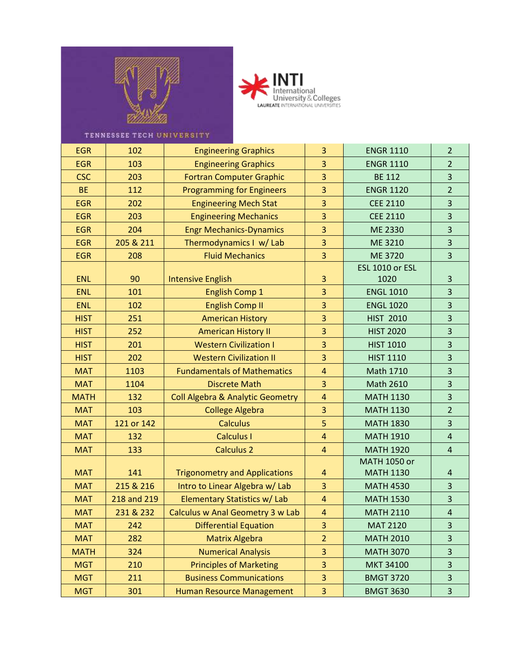



## TENNESSEE TECH UNIVERSITY

| <b>EGR</b>  | 102         | <b>Engineering Graphics</b>                 | 3                       | <b>ENGR 1110</b>    | $\overline{2}$          |
|-------------|-------------|---------------------------------------------|-------------------------|---------------------|-------------------------|
| <b>EGR</b>  | 103         | <b>Engineering Graphics</b>                 | 3                       | <b>ENGR 1110</b>    | $\overline{2}$          |
| <b>CSC</b>  | 203         | <b>Fortran Computer Graphic</b>             | 3                       | <b>BE 112</b>       | 3                       |
| <b>BE</b>   | 112         | <b>Programming for Engineers</b>            | 3                       | <b>ENGR 1120</b>    | $\overline{2}$          |
| <b>EGR</b>  | 202         | <b>Engineering Mech Stat</b>                | 3                       | <b>CEE 2110</b>     | 3                       |
| <b>EGR</b>  | 203         | <b>Engineering Mechanics</b>                | 3                       | <b>CEE 2110</b>     | 3                       |
| <b>EGR</b>  | 204         | <b>Engr Mechanics-Dynamics</b>              | 3                       | ME 2330             | 3                       |
| <b>EGR</b>  | 205 & 211   | Thermodynamics I w/ Lab                     | $\overline{\mathbf{3}}$ | ME 3210             | 3                       |
| <b>EGR</b>  | 208         | <b>Fluid Mechanics</b>                      | 3                       | ME 3720             | 3                       |
|             |             |                                             |                         | ESL 1010 or ESL     |                         |
| <b>ENL</b>  | 90          | <b>Intensive English</b>                    | 3                       | 1020                | 3                       |
| <b>ENL</b>  | 101         | <b>English Comp 1</b>                       | 3                       | <b>ENGL 1010</b>    | 3                       |
| <b>ENL</b>  | 102         | <b>English Comp II</b>                      | $\overline{3}$          | <b>ENGL 1020</b>    | 3                       |
| <b>HIST</b> | 251         | <b>American History</b>                     | 3                       | <b>HIST 2010</b>    | $\overline{3}$          |
| <b>HIST</b> | 252         | <b>American History II</b>                  | 3                       | <b>HIST 2020</b>    | 3                       |
| <b>HIST</b> | 201         | <b>Western Civilization I</b>               | 3                       | <b>HIST 1010</b>    | 3                       |
| <b>HIST</b> | 202         | <b>Western Civilization II</b>              | 3                       | <b>HIST 1110</b>    | 3                       |
| <b>MAT</b>  | 1103        | <b>Fundamentals of Mathematics</b>          | $\overline{\mathbf{4}}$ | Math 1710           | 3                       |
| <b>MAT</b>  | 1104        | <b>Discrete Math</b>                        | 3                       | Math 2610           | 3                       |
| <b>MATH</b> | 132         | <b>Coll Algebra &amp; Analytic Geometry</b> | $\overline{\mathbf{4}}$ | <b>MATH 1130</b>    | 3                       |
| <b>MAT</b>  | 103         | <b>College Algebra</b>                      | 3                       | <b>MATH 1130</b>    | $\overline{2}$          |
| <b>MAT</b>  | 121 or 142  | <b>Calculus</b>                             | 5                       | <b>MATH 1830</b>    | 3                       |
| <b>MAT</b>  | 132         | <b>Calculus I</b>                           | $\overline{4}$          | <b>MATH 1910</b>    | $\overline{4}$          |
| <b>MAT</b>  | 133         | <b>Calculus 2</b>                           | $\overline{4}$          | <b>MATH 1920</b>    | $\overline{\mathbf{4}}$ |
|             |             |                                             |                         | <b>MATH 1050 or</b> |                         |
| <b>MAT</b>  | 141         | <b>Trigonometry and Applications</b>        | 4                       | <b>MATH 1130</b>    | $\overline{\mathbf{r}}$ |
| <b>MAT</b>  | 215 & 216   | Intro to Linear Algebra w/ Lab              | $\overline{3}$          | <b>MATH 4530</b>    | $\overline{3}$          |
| <b>MAT</b>  | 218 and 219 | Elementary Statistics w/ Lab                | $\overline{4}$          | <b>MATH 1530</b>    | 3                       |
| <b>MAT</b>  | 231 & 232   | Calculus w Anal Geometry 3 w Lab            | $\overline{4}$          | <b>MATH 2110</b>    | 4                       |
| <b>MAT</b>  | 242         | <b>Differential Equation</b>                | 3                       | <b>MAT 2120</b>     | 3                       |
| <b>MAT</b>  | 282         | <b>Matrix Algebra</b>                       | $\overline{2}$          | <b>MATH 2010</b>    | 3                       |
| <b>MATH</b> | 324         | <b>Numerical Analysis</b>                   | 3                       | <b>MATH 3070</b>    | 3                       |
| <b>MGT</b>  | 210         | <b>Principles of Marketing</b>              | 3                       | <b>MKT 34100</b>    | 3                       |
| <b>MGT</b>  | 211         | <b>Business Communications</b>              | 3                       | <b>BMGT 3720</b>    | 3                       |
| <b>MGT</b>  | 301         | Human Resource Management                   | 3                       | <b>BMGT 3630</b>    | 3                       |